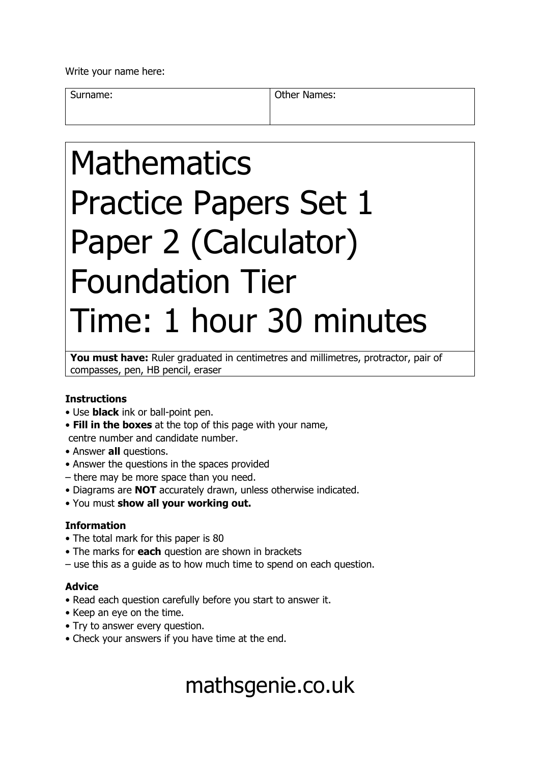Write your name here:

Surname: **Other Names: Other Names:** 

# Mathematics Practice Papers Set 1 Paper 2 (Calculator) Foundation Tier Time: 1 hour 30 minutes

You must have: Ruler graduated in centimetres and millimetres, protractor, pair of compasses, pen, HB pencil, eraser

### **Instructions**

- Use **black** ink or ball-point pen.
- **Fill in the boxes** at the top of this page with your name, centre number and candidate number.
- Answer **all** questions.
- Answer the questions in the spaces provided
- there may be more space than you need.
- Diagrams are **NOT** accurately drawn, unless otherwise indicated.
- You must **show all your working out.**

### **Information**

- The total mark for this paper is 80
- The marks for **each** question are shown in brackets
- use this as a guide as to how much time to spend on each question.

### **Advice**

- Read each question carefully before you start to answer it.
- Keep an eye on the time.
- Try to answer every question.
- Check your answers if you have time at the end.

## mathsgenie.co.uk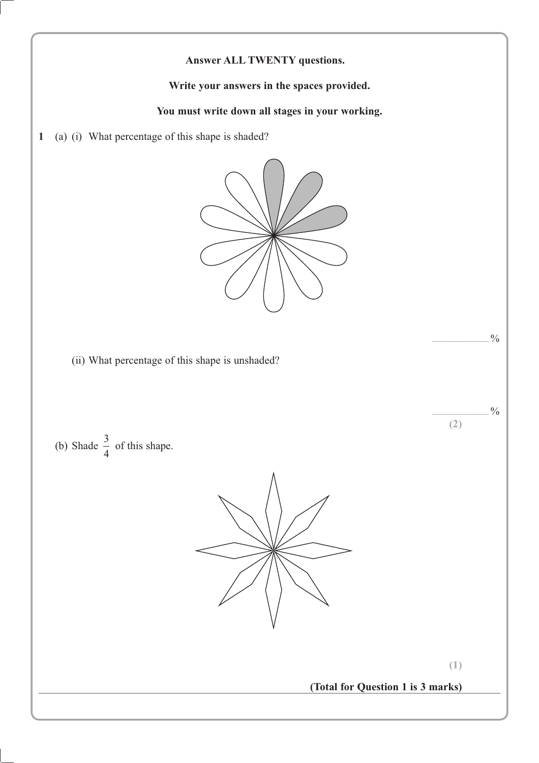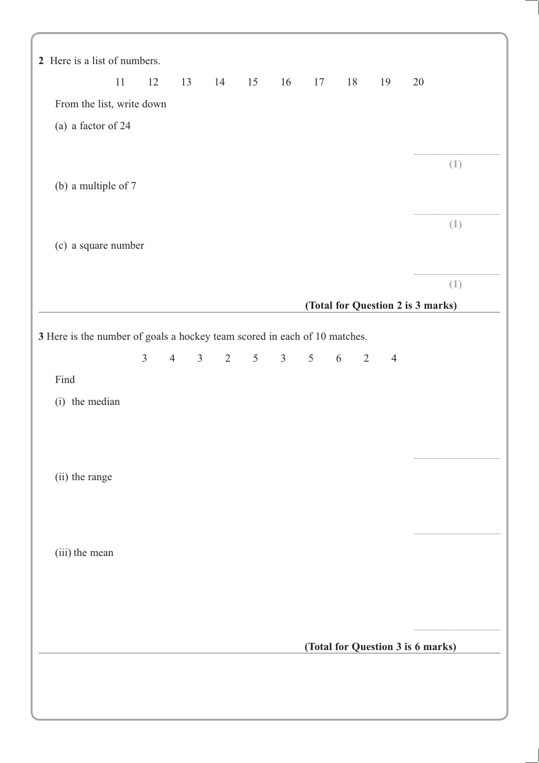| 2 Here is a list of numbers.                                              |    |                |                |                |                |                 |                |                 |                     |                |                                   |
|---------------------------------------------------------------------------|----|----------------|----------------|----------------|----------------|-----------------|----------------|-----------------|---------------------|----------------|-----------------------------------|
|                                                                           | 11 | 12             | 13             |                |                | 14 15 16 17     |                |                 | 18                  | 19             | 20                                |
| From the list, write down                                                 |    |                |                |                |                |                 |                |                 |                     |                |                                   |
| (a) a factor of 24                                                        |    |                |                |                |                |                 |                |                 |                     |                |                                   |
|                                                                           |    |                |                |                |                |                 |                |                 |                     |                |                                   |
| (b) a multiple of 7                                                       |    |                |                |                |                |                 |                |                 |                     |                | (1)                               |
|                                                                           |    |                |                |                |                |                 |                |                 |                     |                |                                   |
|                                                                           |    |                |                |                |                |                 |                |                 |                     |                | (1)                               |
| (c) a square number                                                       |    |                |                |                |                |                 |                |                 |                     |                |                                   |
|                                                                           |    |                |                |                |                |                 |                |                 |                     |                |                                   |
|                                                                           |    |                |                |                |                |                 |                |                 |                     |                | (1)                               |
|                                                                           |    |                |                |                |                |                 |                |                 |                     |                | (Total for Question 2 is 3 marks) |
| 3 Here is the number of goals a hockey team scored in each of 10 matches. |    |                |                |                |                |                 |                |                 |                     |                |                                   |
|                                                                           |    |                |                |                |                |                 |                |                 |                     |                |                                   |
|                                                                           |    | $\overline{3}$ | $\overline{4}$ | 3 <sup>7</sup> | $\overline{2}$ | $5\overline{)}$ | 3 <sup>7</sup> | $5\overline{)}$ | 6<br>$\overline{2}$ | $\overline{4}$ |                                   |
| Find                                                                      |    |                |                |                |                |                 |                |                 |                     |                |                                   |
| (i) the median                                                            |    |                |                |                |                |                 |                |                 |                     |                |                                   |
|                                                                           |    |                |                |                |                |                 |                |                 |                     |                |                                   |
|                                                                           |    |                |                |                |                |                 |                |                 |                     |                |                                   |
| (ii) the range                                                            |    |                |                |                |                |                 |                |                 |                     |                |                                   |
|                                                                           |    |                |                |                |                |                 |                |                 |                     |                |                                   |
|                                                                           |    |                |                |                |                |                 |                |                 |                     |                |                                   |
|                                                                           |    |                |                |                |                |                 |                |                 |                     |                |                                   |
| (iii) the mean                                                            |    |                |                |                |                |                 |                |                 |                     |                |                                   |
|                                                                           |    |                |                |                |                |                 |                |                 |                     |                |                                   |
|                                                                           |    |                |                |                |                |                 |                |                 |                     |                |                                   |
|                                                                           |    |                |                |                |                |                 |                |                 |                     |                | (Total for Question 3 is 6 marks) |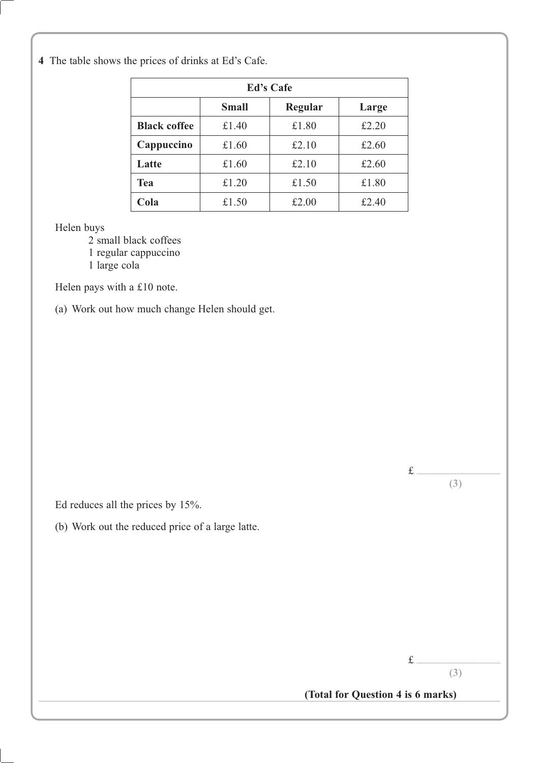**4** The table shows the prices of drinks at Ed's Cafe.

| <b>Ed's Cafe</b>    |              |         |       |  |  |  |
|---------------------|--------------|---------|-------|--|--|--|
|                     | <b>Small</b> | Regular | Large |  |  |  |
| <b>Black coffee</b> | £1.40        | £1.80   | £2.20 |  |  |  |
| Cappuccino          | £1.60        | £2.10   | £2.60 |  |  |  |
| Latte               | £1.60        | £2.10   | £2.60 |  |  |  |
| <b>Tea</b>          | £1.20        | £1.50   | £1.80 |  |  |  |
| Cola                | £1.50        | £2.00   | £2.40 |  |  |  |

Helen buys

2 small black coffees

1 regular cappuccino

1 large cola

Helen pays with a £10 note.

(a) Work out how much change Helen should get.

Ed reduces all the prices by 15%.

(b) Work out the reduced price of a large latte.

£. ..............................................................

£. ..............................................................

**(3)**

**(3)**

**(Total for Question 4 is 6 marks)**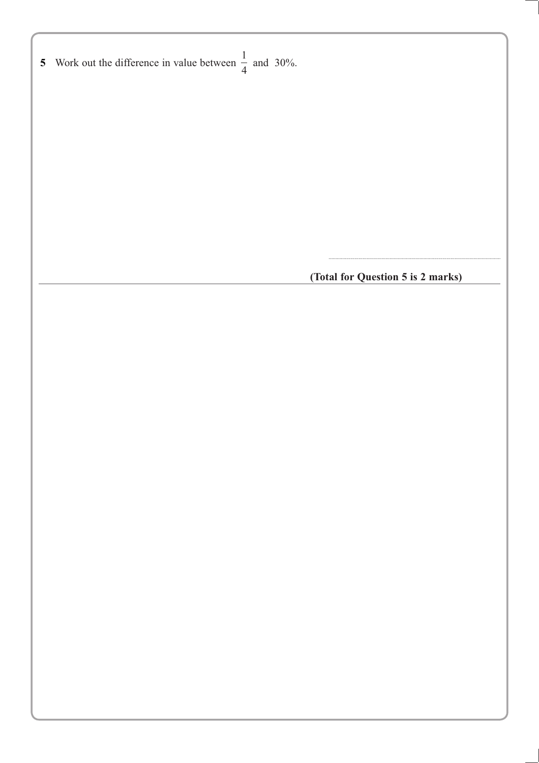**9** Work out the difference in value between 1 5 Work out the difference in value between  $\frac{1}{4}$  and 30%.

**(Total for Question 5 is 2 marks)**

...............................................................................................................................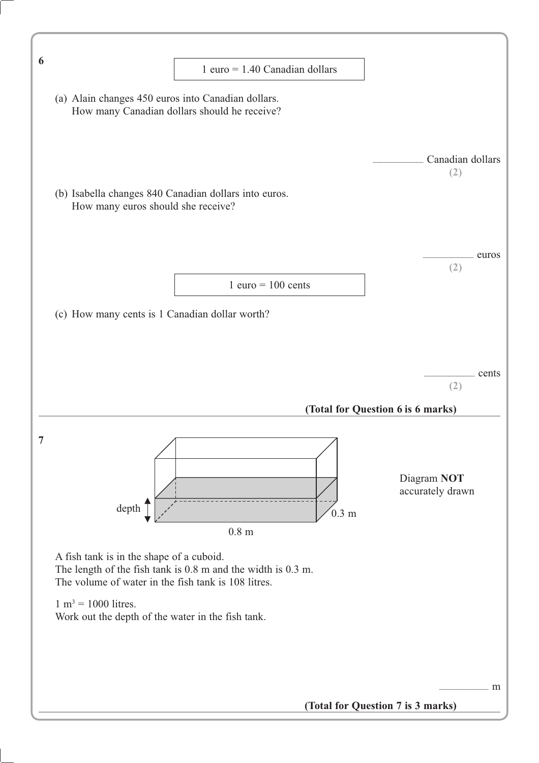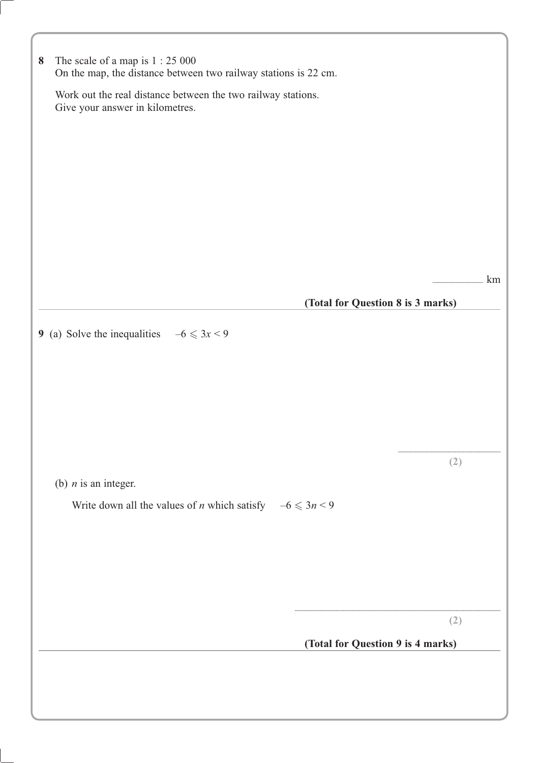| $\bf{8}$ | The scale of a map is $1:25000$<br>On the map, the distance between two railway stations is 22 cm. |     |
|----------|----------------------------------------------------------------------------------------------------|-----|
|          | Work out the real distance between the two railway stations.<br>Give your answer in kilometres.    |     |
|          |                                                                                                    |     |
|          |                                                                                                    |     |
|          |                                                                                                    |     |
|          |                                                                                                    |     |
|          |                                                                                                    | km  |
|          | (Total for Question 8 is 3 marks)                                                                  |     |
|          | 9 (a) Solve the inequalities $-6 \leq 3x < 9$                                                      |     |
|          |                                                                                                    |     |
|          |                                                                                                    |     |
|          |                                                                                                    |     |
|          | (b) $n$ is an integer.                                                                             | (2) |
|          | Write down all the values of <i>n</i> which satisfy $-6 \leq 3n < 9$                               |     |
|          |                                                                                                    |     |
|          |                                                                                                    |     |
|          |                                                                                                    |     |
|          | (Total for Question 9 is 4 marks)                                                                  | (2) |
|          |                                                                                                    |     |
|          |                                                                                                    |     |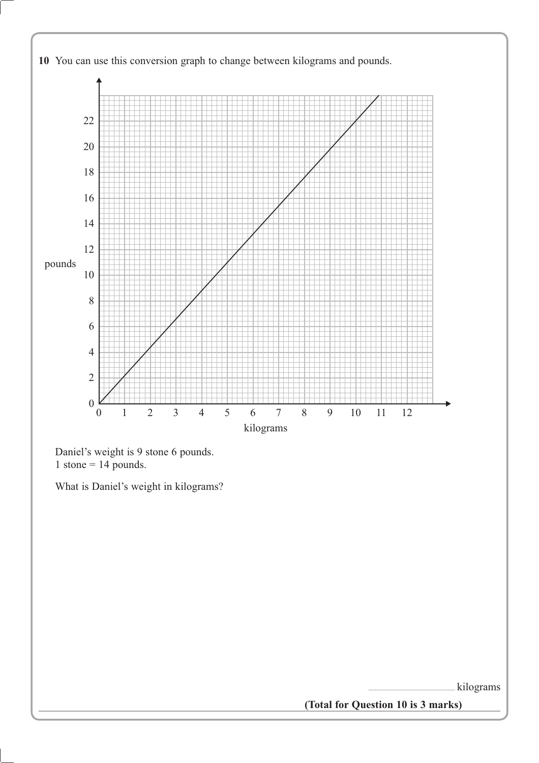

Daniel's weight is 9 stone 6 pounds. 1 stone = pounds.

What is Daniel's weight in kilograms?

................................................................ kilograms

**(Total for Question 10 is 3 marks)**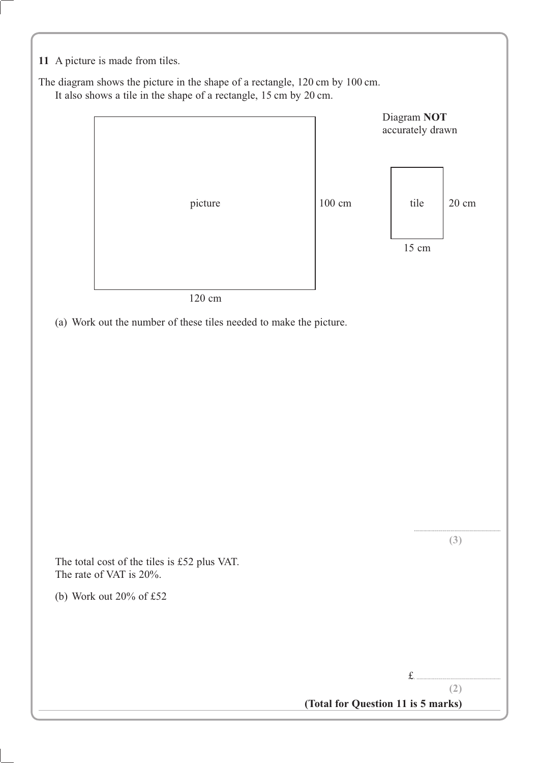**11** A picture is made from tiles.

The diagram shows the picture in the shape of a rectangle, 120 cm by 100 cm. It also shows a tile in the shape of a rectangle, 15 cm by 20 cm.

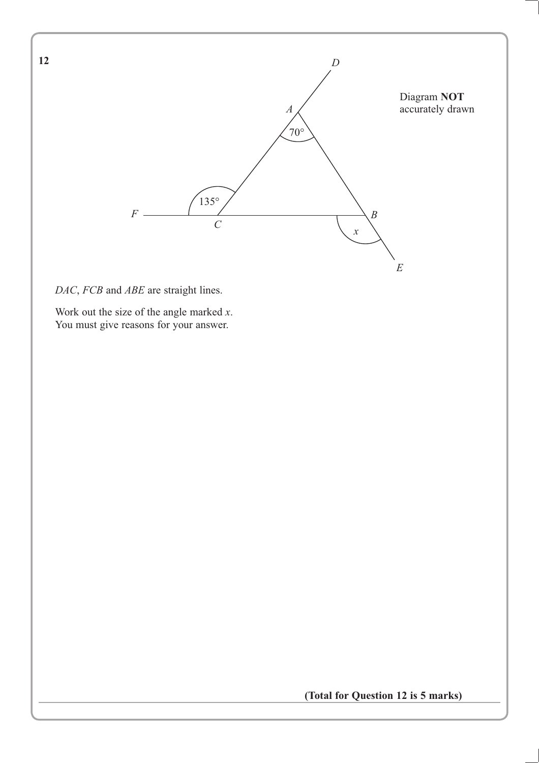

*DAC*, *FCB* and *ABE* are straight lines.

**12**

Work out the size of the angle marked *x*. You must give reasons for your answer.

**(Total for Question 12 is 5 marks)**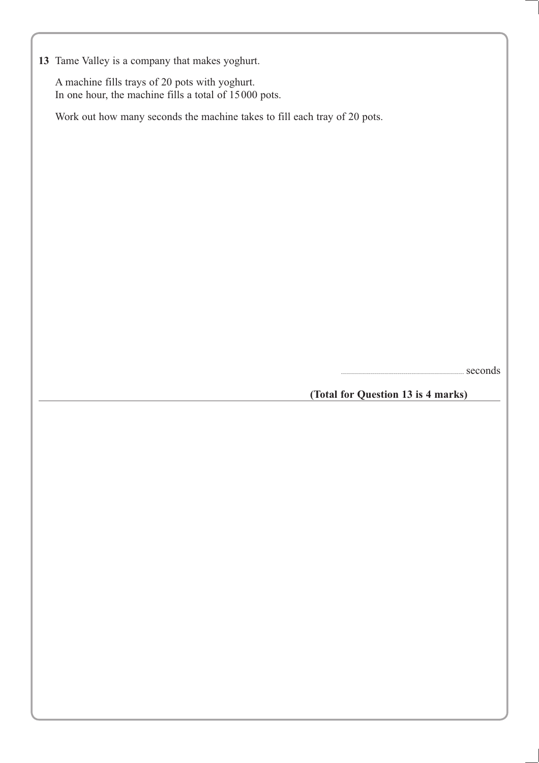**13** Tame Valley is a company that makes yoghurt.

A machine fills trays of 20 pots with yoghurt. In one hour, the machine fills a total of 15000 pots.

Work out how many seconds the machine takes to fill each tray of 20 pots.

...........................................................................................seconds

**(Total for Question 13 is 4 marks)**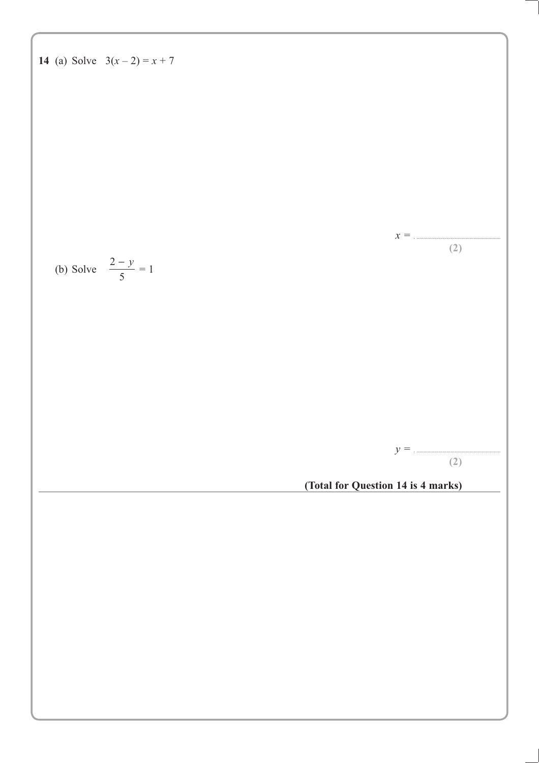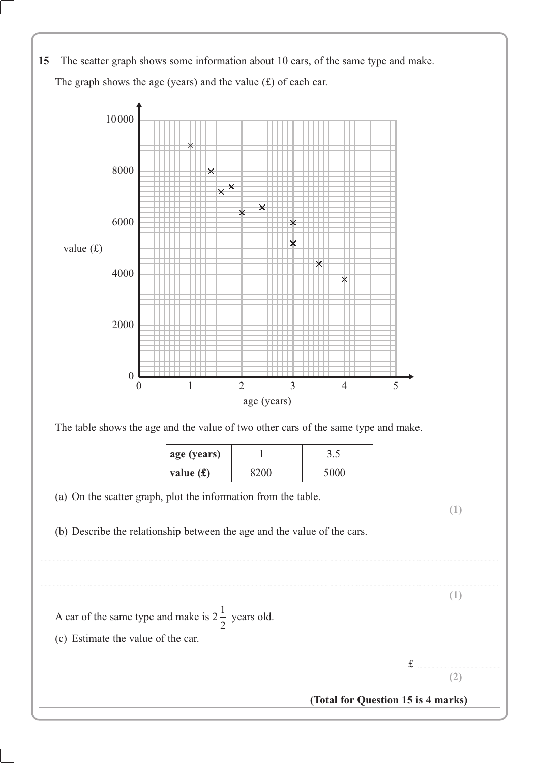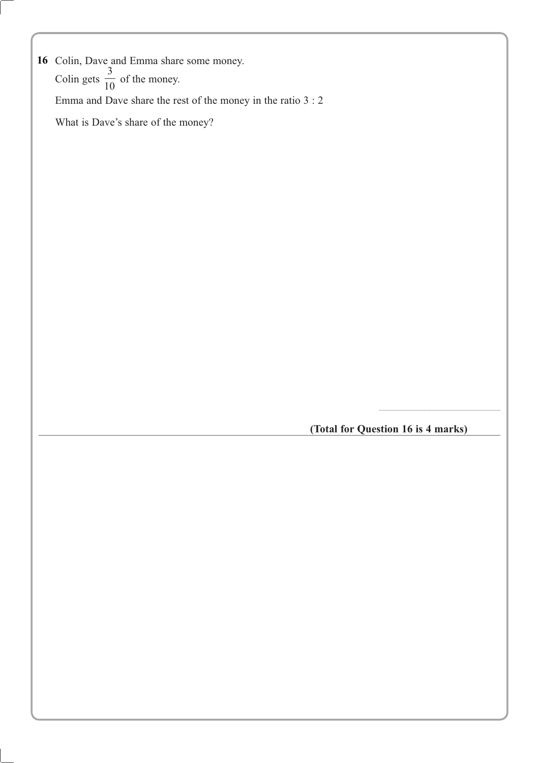16 Colin, Dave and Emma share some money. Colin gets 3  $\frac{1}{10}$  of the money. Emma and Dave share the rest of the money in the ratio 3 : 2 What is Dave's share of the money? **16**

**(Total for Question 16 is 4 marks)**

..........................................................................................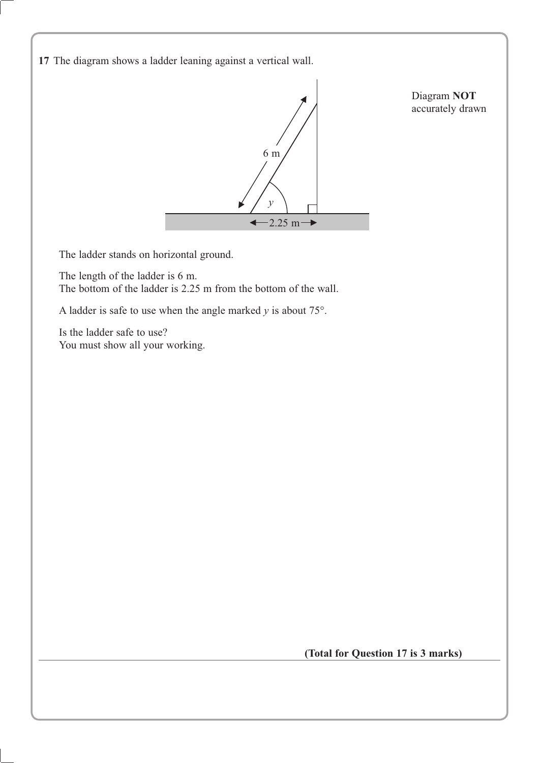**17** The diagram shows a ladder leaning against a vertical wall.



The ladder stands on horizontal ground.

The length of the ladder is 6 m. The bottom of the ladder is 2.25 m from the bottom of the wall.

A ladder is safe to use when the angle marked  $y$  is about  $75^\circ$ .

Is the ladder safe to use? You must show all your working.

**(Total for Question 17 is 3 marks)**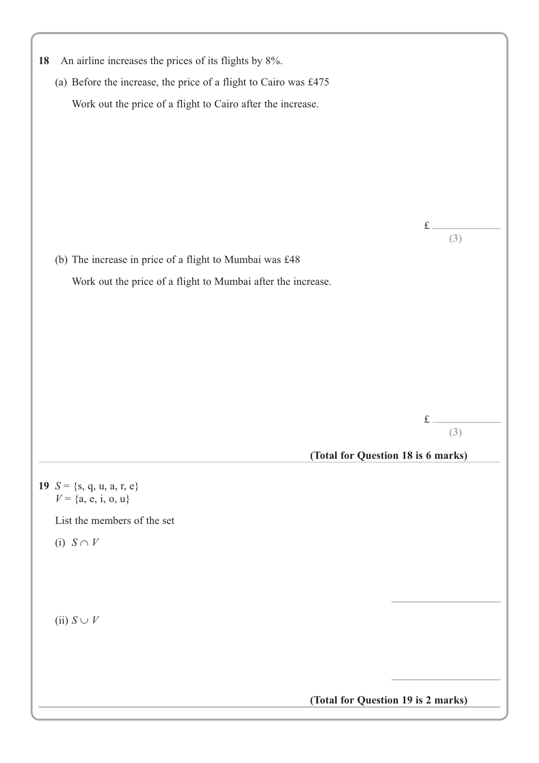| An airline increases the prices of its flights by 8%.<br>18      |       |
|------------------------------------------------------------------|-------|
| (a) Before the increase, the price of a flight to Cairo was £475 |       |
| Work out the price of a flight to Cairo after the increase.      |       |
|                                                                  |       |
|                                                                  |       |
|                                                                  |       |
|                                                                  |       |
|                                                                  |       |
|                                                                  | (3)   |
| (b) The increase in price of a flight to Mumbai was £48          |       |
| Work out the price of a flight to Mumbai after the increase.     |       |
|                                                                  |       |
|                                                                  |       |
|                                                                  |       |
|                                                                  |       |
|                                                                  |       |
|                                                                  | $f$ . |
|                                                                  | (3)   |
| (Total for Question 18 is 6 marks)                               |       |
| 19 $S = \{s, q, u, a, r, e\}$                                    |       |
| $V = \{a, e, i, o, u\}$                                          |       |
| List the members of the set                                      |       |
| (i) $S \cap V$                                                   |       |
|                                                                  |       |
|                                                                  |       |
|                                                                  |       |
| (ii) $S \cup V$                                                  |       |
|                                                                  |       |
|                                                                  |       |
| (Total for Question 19 is 2 marks)                               |       |